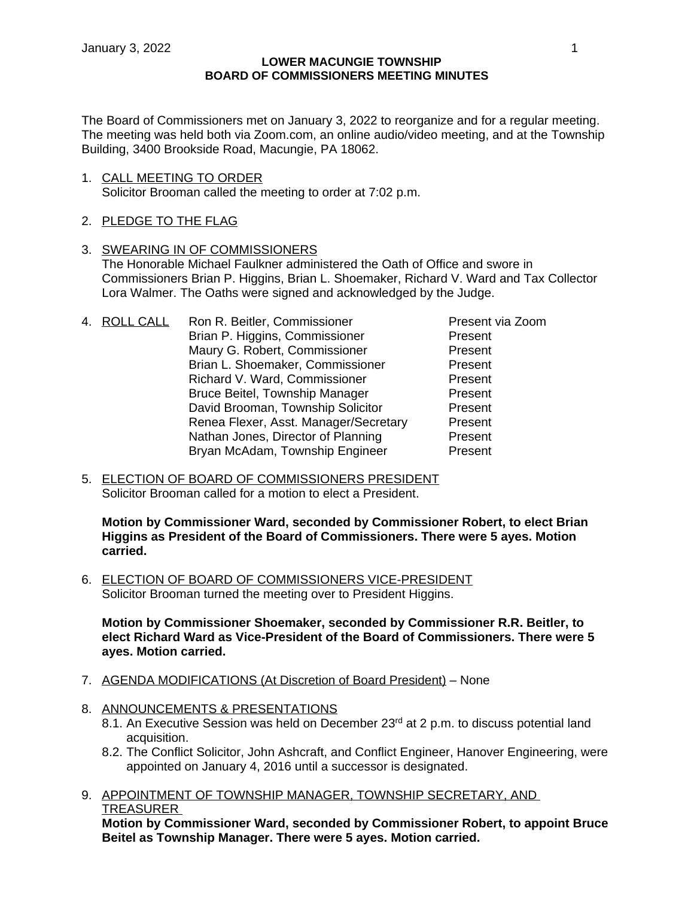The Board of Commissioners met on January 3, 2022 to reorganize and for a regular meeting. The meeting was held both via Zoom.com, an online audio/video meeting, and at the Township Building, 3400 Brookside Road, Macungie, PA 18062.

1. CALL MEETING TO ORDER Solicitor Brooman called the meeting to order at 7:02 p.m.

# 2. PLEDGE TO THE FLAG

- 3. SWEARING IN OF COMMISSIONERS The Honorable Michael Faulkner administered the Oath of Office and swore in Commissioners Brian P. Higgins, Brian L. Shoemaker, Richard V. Ward and Tax Collector Lora Walmer. The Oaths were signed and acknowledged by the Judge.
- 4. ROLL CALL Ron R. Beitler, Commissioner Present via Zoom Brian P. Higgins, Commissioner Present Maury G. Robert, Commissioner Present Brian L. Shoemaker, Commissioner Present Richard V. Ward, Commissioner **Richard V. Ward, Commissioner** Present<br>Bruce Beitel. Township Manager **Present** Bruce Beitel, Township Manager David Brooman, Township Solicitor **Present** Renea Flexer, Asst. Manager/Secretary Present Nathan Jones, Director of Planning Present Bryan McAdam, Township Engineer Present
- 5. ELECTION OF BOARD OF COMMISSIONERS PRESIDENT Solicitor Brooman called for a motion to elect a President.

**Motion by Commissioner Ward, seconded by Commissioner Robert, to elect Brian Higgins as President of the Board of Commissioners. There were 5 ayes. Motion carried.** 

6. ELECTION OF BOARD OF COMMISSIONERS VICE-PRESIDENT Solicitor Brooman turned the meeting over to President Higgins.

**Motion by Commissioner Shoemaker, seconded by Commissioner R.R. Beitler, to elect Richard Ward as Vice-President of the Board of Commissioners. There were 5 ayes. Motion carried.**

- 7. AGENDA MODIFICATIONS (At Discretion of Board President) None
- 8. ANNOUNCEMENTS & PRESENTATIONS
	- 8.1. An Executive Session was held on December 23rd at 2 p.m. to discuss potential land acquisition.
	- 8.2. The Conflict Solicitor, John Ashcraft, and Conflict Engineer, Hanover Engineering, were appointed on January 4, 2016 until a successor is designated.
- 9. APPOINTMENT OF TOWNSHIP MANAGER, TOWNSHIP SECRETARY, AND TREASURER

**Motion by Commissioner Ward, seconded by Commissioner Robert, to appoint Bruce Beitel as Township Manager. There were 5 ayes. Motion carried.**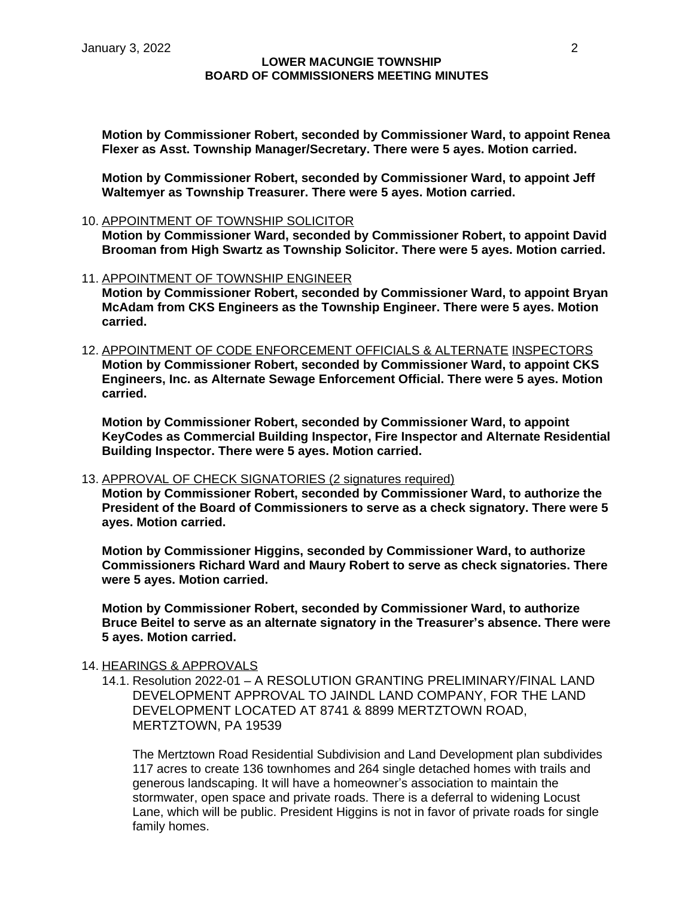**Motion by Commissioner Robert, seconded by Commissioner Ward, to appoint Renea Flexer as Asst. Township Manager/Secretary. There were 5 ayes. Motion carried.**

**Motion by Commissioner Robert, seconded by Commissioner Ward, to appoint Jeff Waltemyer as Township Treasurer. There were 5 ayes. Motion carried.**

10. APPOINTMENT OF TOWNSHIP SOLICITOR

**Motion by Commissioner Ward, seconded by Commissioner Robert, to appoint David Brooman from High Swartz as Township Solicitor. There were 5 ayes. Motion carried.**

11. APPOINTMENT OF TOWNSHIP ENGINEER

**Motion by Commissioner Robert, seconded by Commissioner Ward, to appoint Bryan McAdam from CKS Engineers as the Township Engineer. There were 5 ayes. Motion carried.**

12. APPOINTMENT OF CODE ENFORCEMENT OFFICIALS & ALTERNATE INSPECTORS **Motion by Commissioner Robert, seconded by Commissioner Ward, to appoint CKS Engineers, Inc. as Alternate Sewage Enforcement Official. There were 5 ayes. Motion carried.**

**Motion by Commissioner Robert, seconded by Commissioner Ward, to appoint KeyCodes as Commercial Building Inspector, Fire Inspector and Alternate Residential Building Inspector. There were 5 ayes. Motion carried.**

13. APPROVAL OF CHECK SIGNATORIES (2 signatures required)

**Motion by Commissioner Robert, seconded by Commissioner Ward, to authorize the President of the Board of Commissioners to serve as a check signatory. There were 5 ayes. Motion carried.**

**Motion by Commissioner Higgins, seconded by Commissioner Ward, to authorize Commissioners Richard Ward and Maury Robert to serve as check signatories. There were 5 ayes. Motion carried.**

**Motion by Commissioner Robert, seconded by Commissioner Ward, to authorize Bruce Beitel to serve as an alternate signatory in the Treasurer's absence. There were 5 ayes. Motion carried.**

## 14. HEARINGS & APPROVALS

14.1. Resolution 2022-01 – A RESOLUTION GRANTING PRELIMINARY/FINAL LAND DEVELOPMENT APPROVAL TO JAINDL LAND COMPANY, FOR THE LAND DEVELOPMENT LOCATED AT 8741 & 8899 MERTZTOWN ROAD, MERTZTOWN, PA 19539

The Mertztown Road Residential Subdivision and Land Development plan subdivides 117 acres to create 136 townhomes and 264 single detached homes with trails and generous landscaping. It will have a homeowner's association to maintain the stormwater, open space and private roads. There is a deferral to widening Locust Lane, which will be public. President Higgins is not in favor of private roads for single family homes.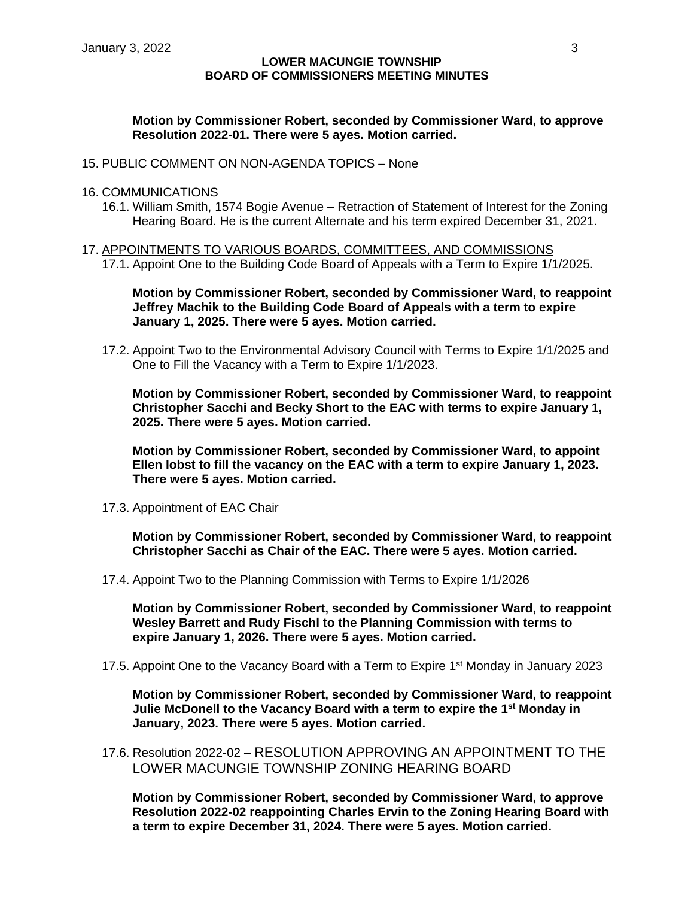## **Motion by Commissioner Robert, seconded by Commissioner Ward, to approve Resolution 2022-01. There were 5 ayes. Motion carried.**

### 15. PUBLIC COMMENT ON NON-AGENDA TOPICS – None

### 16. COMMUNICATIONS

- 16.1. William Smith, 1574 Bogie Avenue Retraction of Statement of Interest for the Zoning Hearing Board. He is the current Alternate and his term expired December 31, 2021.
- 17. APPOINTMENTS TO VARIOUS BOARDS, COMMITTEES, AND COMMISSIONS
	- 17.1. Appoint One to the Building Code Board of Appeals with a Term to Expire 1/1/2025.

**Motion by Commissioner Robert, seconded by Commissioner Ward, to reappoint Jeffrey Machik to the Building Code Board of Appeals with a term to expire January 1, 2025. There were 5 ayes. Motion carried.**

17.2. Appoint Two to the Environmental Advisory Council with Terms to Expire 1/1/2025 and One to Fill the Vacancy with a Term to Expire 1/1/2023.

**Motion by Commissioner Robert, seconded by Commissioner Ward, to reappoint Christopher Sacchi and Becky Short to the EAC with terms to expire January 1, 2025. There were 5 ayes. Motion carried.**

**Motion by Commissioner Robert, seconded by Commissioner Ward, to appoint Ellen Iobst to fill the vacancy on the EAC with a term to expire January 1, 2023. There were 5 ayes. Motion carried.**

17.3. Appointment of EAC Chair

**Motion by Commissioner Robert, seconded by Commissioner Ward, to reappoint Christopher Sacchi as Chair of the EAC. There were 5 ayes. Motion carried.**

17.4. Appoint Two to the Planning Commission with Terms to Expire 1/1/2026

**Motion by Commissioner Robert, seconded by Commissioner Ward, to reappoint Wesley Barrett and Rudy Fischl to the Planning Commission with terms to expire January 1, 2026. There were 5 ayes. Motion carried.**

17.5. Appoint One to the Vacancy Board with a Term to Expire 1<sup>st</sup> Monday in January 2023

**Motion by Commissioner Robert, seconded by Commissioner Ward, to reappoint Julie McDonell to the Vacancy Board with a term to expire the 1st Monday in January, 2023. There were 5 ayes. Motion carried.**

17.6. Resolution 2022-02 – RESOLUTION APPROVING AN APPOINTMENT TO THE LOWER MACUNGIE TOWNSHIP ZONING HEARING BOARD

**Motion by Commissioner Robert, seconded by Commissioner Ward, to approve Resolution 2022-02 reappointing Charles Ervin to the Zoning Hearing Board with a term to expire December 31, 2024. There were 5 ayes. Motion carried.**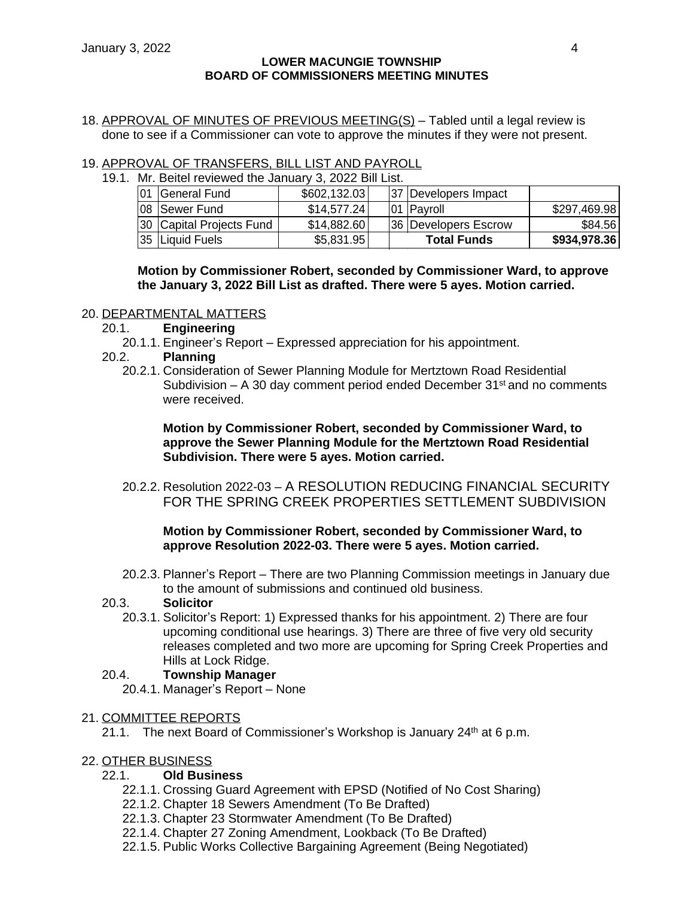18. APPROVAL OF MINUTES OF PREVIOUS MEETING(S) – Tabled until a legal review is done to see if a Commissioner can vote to approve the minutes if they were not present.

## 19. APPROVAL OF TRANSFERS, BILL LIST AND PAYROLL

| 19.1. Mr. Beitel reviewed the January 3, 2022 Bill List. |                          |               |  |  |                      |              |
|----------------------------------------------------------|--------------------------|---------------|--|--|----------------------|--------------|
| 01                                                       | General Fund             | \$602,132.03] |  |  | 37 Developers Impact |              |
|                                                          | 08 Sewer Fund            | \$14,577.24]  |  |  | 01 Payroll           | \$297,469.98 |
|                                                          | 30 Capital Projects Fund | \$14,882.60   |  |  | 36 Developers Escrow | \$84.56      |
|                                                          | 35 Liquid Fuels          | \$5,831.95    |  |  | <b>Total Funds</b>   | \$934,978.36 |

**Motion by Commissioner Robert, seconded by Commissioner Ward, to approve the January 3, 2022 Bill List as drafted. There were 5 ayes. Motion carried.**

#### 20. DEPARTMENTAL MATTERS

- 20.1. **Engineering**
	- 20.1.1. Engineer's Report Expressed appreciation for his appointment.
- 20.2. **Planning**
	- 20.2.1. Consideration of Sewer Planning Module for Mertztown Road Residential Subdivision – A 30 day comment period ended December  $31<sup>st</sup>$  and no comments were received.

**Motion by Commissioner Robert, seconded by Commissioner Ward, to approve the Sewer Planning Module for the Mertztown Road Residential Subdivision. There were 5 ayes. Motion carried.**

20.2.2. Resolution 2022-03 – A RESOLUTION REDUCING FINANCIAL SECURITY FOR THE SPRING CREEK PROPERTIES SETTLEMENT SUBDIVISION

## **Motion by Commissioner Robert, seconded by Commissioner Ward, to approve Resolution 2022-03. There were 5 ayes. Motion carried.**

20.2.3. Planner's Report – There are two Planning Commission meetings in January due to the amount of submissions and continued old business.

## 20.3. **Solicitor**

20.3.1. Solicitor's Report: 1) Expressed thanks for his appointment. 2) There are four upcoming conditional use hearings. 3) There are three of five very old security releases completed and two more are upcoming for Spring Creek Properties and Hills at Lock Ridge.

## 20.4. **Township Manager**

20.4.1. Manager's Report – None

## 21. COMMITTEE REPORTS

21.1. The next Board of Commissioner's Workshop is January  $24<sup>th</sup>$  at 6 p.m.

## 22. OTHER BUSINESS

## 22.1. **Old Business**

- 22.1.1. Crossing Guard Agreement with EPSD (Notified of No Cost Sharing)
- 22.1.2. Chapter 18 Sewers Amendment (To Be Drafted)
- 22.1.3. Chapter 23 Stormwater Amendment (To Be Drafted)
- 22.1.4. Chapter 27 Zoning Amendment, Lookback (To Be Drafted)
- 22.1.5. Public Works Collective Bargaining Agreement (Being Negotiated)